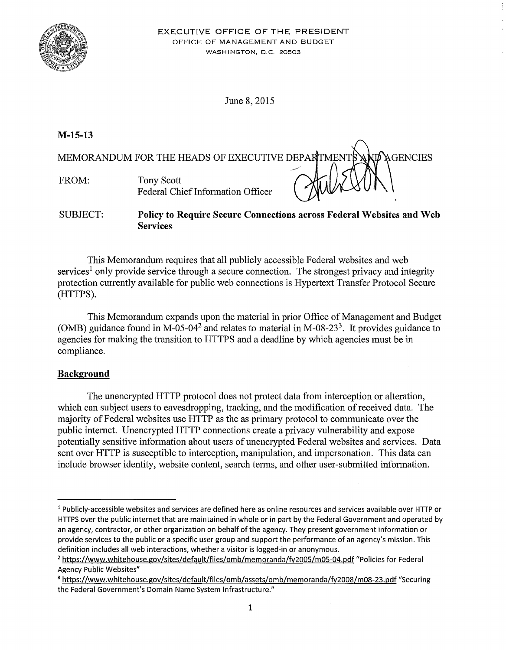

June 8, 2015

# **M-15-13**

MEMORANDUM FOR THE HEADS OF EXECUTIVE DEPARTMENT **A GENCIES** FROM: Tony Scott Federal Chief Information Officer

SUBJECT: **Policy to Require Secure Connections across Federal Websites and Web Services** 

This Memorandum requires that all publicly accessible Federal websites and web services<sup>1</sup> only provide service through a secure connection. The strongest privacy and integrity protection currently available for public web connections is Hypertext Transfer Protocol Secure (HTTPS).

This Memorandum expands upon the material in prior Office of Management and Budget (OMB) guidance found in M-05-04<sup>2</sup> and relates to material in M-08-23<sup>3</sup>. It provides guidance to agencies for making the transition to HTTPS and a deadline by which agencies must be in compliance.

# **Background**

The unencrypted HTTP protocol does not protect data from interception or alteration, which can subject users to eavesdropping, tracking, and the modification of received data. The majority of Federal websites use HTTP as the as primary protocol to communicate over the public internet. Unencrypted HTTP connections create a privacy vulnerability and expose potentially sensitive information about users of unencrypted Federal websites and services. Data sent over HTTP is susceptible to interception, manipulation, and impersonation. This data can include browser identity, website content, search terms, and other user-submitted information.

<sup>1</sup> Publicly-accessible websites and services are defined here as online resources and services available over HTTP or HTTPS over the public internet that are maintained in whole or in part by the Federal Government and operated by an agency, contractor, or other organization on behalf of the agency. They present government information or provide services to the public or a specific user group and support the performance of an agency's mission. This definition includes all web interactions, whether a visitor is logged-in or anonymous.

<sup>&</sup>lt;sup>2</sup> https://www.whitehouse.gov/sites/default/files/omb/memoranda/fy2005/m05-04.pdf "Policies for Federal Agency Public Websites"

<sup>3</sup>https://www.whitehouse.gov/sites/default/files/omb/assets/omb/memoranda/fy2008/m08-23.pdf "Securing the Federal Government's Domain Name System Infrastructure."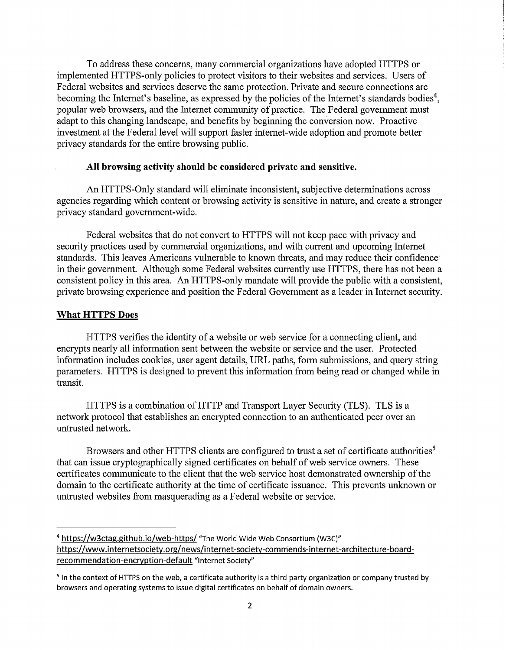To address these concerns, many commercial organizations have adopted HTTPS or implemented HTTPS-only policies to protect visitors to their websites and services. Users of Federal websites and services deserve the same protection. Private and secure connections are becoming the Internet's baseline, as expressed by the policies of the Internet's standards bodies<sup>4</sup>, popular web browsers, and the Internet community of practice. The Federal government must adapt to this changing landscape, and benefits by beginning the conversion now. Proactive investment at the Federal level will support faster internet-wide adoption and promote better privacy standards for the entire browsing public.

#### **All browsing activity should be considered private and sensitive.**

An HTTPS-Only standard will eliminate inconsistent, subjective determinations across agencies regarding which content or browsing activity is sensitive in nature, and create a stronger privacy standard government-wide.

Federal websites that do not convert to HTTPS will not keep pace with privacy and security practices used by commercial organizations, and with current and upcoming Internet standards. This leaves Americans vulnerable to known threats, and may reduce their confidence in their government. Although some Federal websites currently use HTTPS, there has not been a consistent policy in this area. An HTTPS-only mandate will provide the public with a consistent, private browsing experience and position the Federal Government as a leader in Internet security.

#### **What HTTPS Does**

HTTPS verifies the identity of a website or web service for a connecting client, and encrypts nearly all information sent between the website or service and the user. Protected information includes cookies, user agent details, URL paths, form submissions, and query string parameters. HTTPS is designed to prevent this information from being read or changed while in transit.

HTTPS is a combination of HTTP and Transport Layer Security (TLS). TLS is a network protocol that establishes an encrypted connection to an authenticated peer over an untrusted network.

Browsers and other HTTPS clients are configured to trust a set of certificate authorities<sup>5</sup> that can issue cryptographically signed certificates on behalf of web service owners. These certificates communicate to the client that the web service host demonstrated ownership of the domain to the certificate authority at the time of certificate issuance. This prevents unknown or untrusted websites from masquerading as a Federal website or service.

<sup>&</sup>lt;sup>4</sup> https://w3ctag.github.io/web-https/ "The World Wide Web Consortium (W3C)" https://www.internetsociety.org/news/internet-society-commends-internet-architecture-boardrecommendation-encryption-default "Internet Society"

<sup>&</sup>lt;sup>5</sup> In the context of HTTPS on the web, a certificate authority is a third party organization or company trusted by browsers and operating systems to issue digital certificates on behalf of domain owners.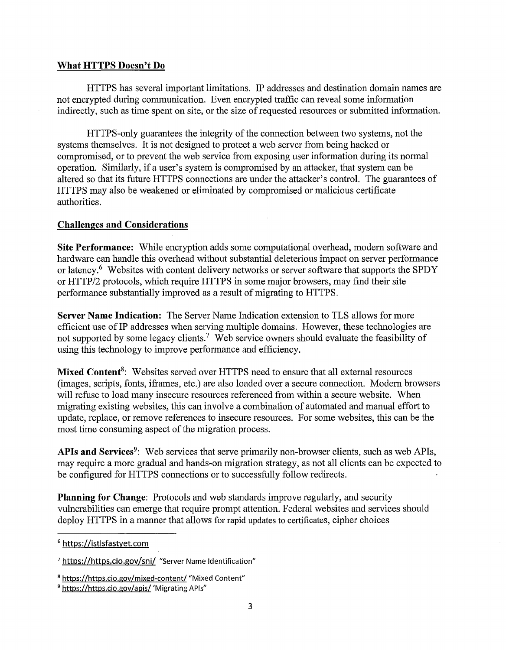### **What HTTPS Doesn't Do**

HTTPS has several important limitations. IP addresses and destination domain names are not encrypted during communication. Even encrypted traffic can reveal some information indirectly, such as time spent on site, or the size of requested resources or submitted information.

HTTPS-only guarantees the integrity of the connection between two systems, not the systems themselves. It is not designed to protect a web server from being hacked or compromised, or to prevent the web service from exposing user information during its normal operation. Similarly, if a user's system is compromised by an attacker, that system can be altered so that its future HTTPS connections are under the attacker's control. The guarantees of HTTPS may also be weakened or eliminated by compromised or malicious certificate authorities.

### **Challenges and Considerations**

**Site Performance:** While encryption adds some computational overhead, modern software and hardware can handle this overhead without substantial deleterious impact on server performance or latency.<sup>6</sup> Websites with content delivery networks or server software that supports the SPDY or HTTP/2 protocols, which require HTTPS in some major browsers, may find their site performance substantially improved as a result of migrating to HTTPS.

**Server Name Indication:** The Server Name Indication extension to TLS allows for more efficient use of IP addresses when serving multiple domains. However, these technologies are not supported by some legacy clients.<sup>7</sup> Web service owners should evaluate the feasibility of using this technology to improve performance and efficiency.

**Mixed Content8:** Websites served over HTTPS need to ensure that all external resources (images, scripts, fonts, iframes, etc.) are also loaded over a secure connection. Modern browsers will refuse to load many insecure resources referenced from within a secure website. When migrating existing websites, this can involve a combination of automated and manual effort to update, replace, or remove references to insecure resources. For some websites, this can be the most time consuming aspect of the migration process.

APIs and Services<sup>9</sup>: Web services that serve primarily non-browser clients, such as web APIs, may require a more gradual and hands-on migration strategy, as not all clients can be expected to be configured for HTTPS connections or to successfully follow redirects.

**Planning for Change:** Protocols and web standards improve regularly, and security vulnerabilities can emerge that require prompt attention. Federal websites and services should deploy HTTPS in a manner that allows for rapid updates to certificates, cipher choices

<sup>6</sup> https://istlsfastyet.com

<sup>&</sup>lt;sup>7</sup> https://https.cio.gov/sni/ "Server Name Identification"

<sup>&</sup>lt;sup>8</sup> https://https.cio.gov/mixed-content/ "Mixed Content"<br><sup>9</sup> https://https.cio.gov/apis/ 'Migrating APIs"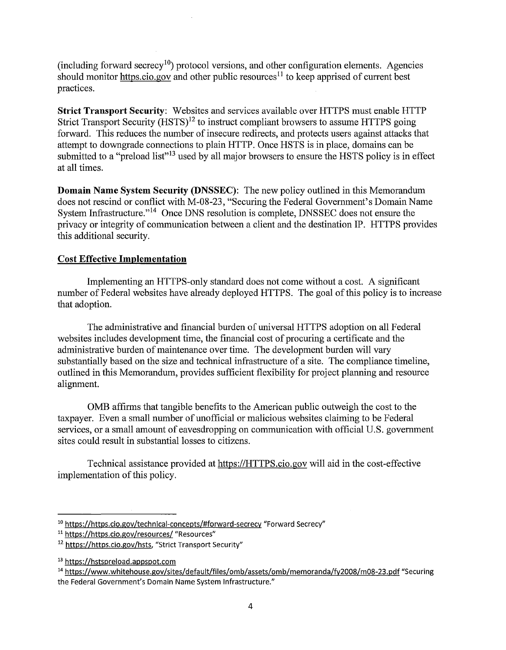(including forward secrecy<sup>10</sup>) protocol versions, and other configuration elements. Agencies should monitor https.cio.gov and other public resources<sup>11</sup> to keep apprised of current best practices.

**Strict Transport Security:** Websites and services available over HTTPS must enable HTTP Strict Transport Security  $(HSTS)^{12}$  to instruct compliant browsers to assume HTTPS going forward. This reduces the number of insecure redirects, and protects users against attacks that attempt to downgrade connections to plain HTTP. Once HSTS is in place, domains can be submitted to a "preload list"<sup>13</sup> used by all major browsers to ensure the HSTS policy is in effect at all times.

**Domain Name System Security (DNSSEC):** The new policy outlined in this Memorandum does not rescind or conflict with M-08-23, "Securing the Federal Government's Domain Name System Infrastructure."<sup>14</sup> Once DNS resolution is complete, DNSSEC does not ensure the privacy or integrity of communication between a client and the destination IP. HTTPS provides this additional security.

## **Cost Effective Implementation**

Implementing an HTTPS-only standard does not come without a cost. A significant number of Federal websites have already deployed HTTPS. The goal of this policy is to increase that adoption.

The administrative and financial burden of universal HTTPS adoption on all Federal websites includes development time, the financial cost of procuring a certificate and the administrative burden of maintenance over time. The development burden will vary substantially based on the size and technical infrastructure of a site. The compliance timeline, outlined in this Memorandum, provides sufficient flexibility for project planning and resource alignment.

OMB affirms that tangible benefits to the American public outweigh the cost to the taxpayer. Even a small number of unofficial or malicious websites claiming to be Federal services, or a small amount of eavesdropping on communication with official U.S. government sites could result in substantial losses to citizens.

Technical assistance provided at https://HTTPS.cio.gov will aid in the cost-effective implementation of this policy.

<sup>&</sup>lt;sup>10</sup> https://https.cio.gov/technical-concepts/#forward-secrecy "Forward Secrecy"

<sup>&</sup>lt;sup>11</sup> https://https.cio.gov/resources/ "Resources"

<sup>12</sup> https://https.cio.gov/hsts, "Strict Transport Security"

<sup>13</sup> https://hstspreload.appspot.com

<sup>14</sup> https://www.whitehouse.gov/sites/default/files/omb/assets/omb/memoranda/fy2008/m08-23.pdf "Securing the Federal Government's Domain Name System Infrastructure."